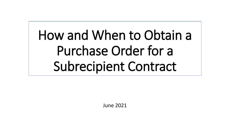How and When to Obtain a Purchase Order for a Subrecipient Contract

June 2021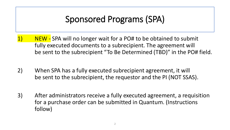# Sponsored Programs (SPA)

- 1) NEW SPA will no longer wait for a PO# to be obtained to submit fully executed documents to a subrecipient. The agreement will be sent to the subrecipient "To Be Determined (TBD)" in the PO# field.
- 2) When SPA has a fully executed subrecipient agreement, it will be sent to the subrecipient, the requestor and the PI (NOT SSAS).
- 3) After administrators receive a fully executed agreement, a requisition for a purchase order can be submitted in Quantum. (Instructions follow)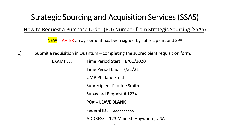#### How to Request a Purchase Order (PO) Number from Strategic Sourcing (SSAS)

NEW - AFTER an agreement has been signed by subrecipient and SPA

- 1) Submit a requisition in Quantum completing the subrecipient requisition form:
	- EXAMPLE: Time Period Start = 8/01/2020 Time Period End = 7/31/21 UMB PI= Jane Smith Subrecipient PI = Joe Smith Subaward Request # 1234 PO# = **LEAVE BLANK** Federal  $ID# = xxxxxxxxxx$ 
		- ADDRESS = 123 Main St. Anywhere, USA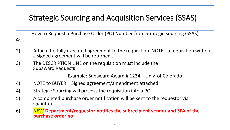How to Request a Purchase Order (PO) Number from Strategic Sourcing (SSAS)

*Con't* 

- 2) Attach the fully executed agreement to the requisition. NOTE a requisition without a signed agreement will be returned .
- 3) The DESCRIPTION LINE on the requisition must include the Subaward Request#

Example: Subaward Award # 1234 – Univ. of Colorado

- 4) NOTE to BUYER = Signed agreement/amendment attached
- 4) Strategic Sourcing will process the requisition into a PO
- 5) A completed purchase order notification will be sent to the requestor via Quantum
- 6) NEW **Department/requestor notifies the subrecipient vendor and SPA of the purchase order no.**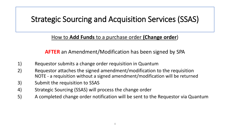#### How to **Add Funds** to a purchase order **(Change order**)

**AFTER** an Amendment/Modification has been signed by SPA

- 1) Requestor submits a change order requisition in Quantum
- 2) Requestor attaches the signed amendment/modification to the requisition NOTE - a requisition without a signed amendment/modification will be returned
- 3) Submit the requisition to SSAS
- 4) Strategic Sourcing (SSAS) will process the change order
- 5) A completed change order notification will be sent to the Requestor via Quantum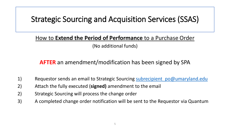#### How to **Extend the Period of Performance** to a Purchase Order (No additional funds)

#### **AFTER** an amendment/modification has been signed by SPA

- 1) Requestor sends an email to Strategic Sourcing subrecipient po@umaryland.edu
- 2) Attach the fully executed (**signed)** amendment to the email
- 2) Strategic Sourcing will process the change order
- 3) A completed change order notification will be sent to the Requestor via Quantum